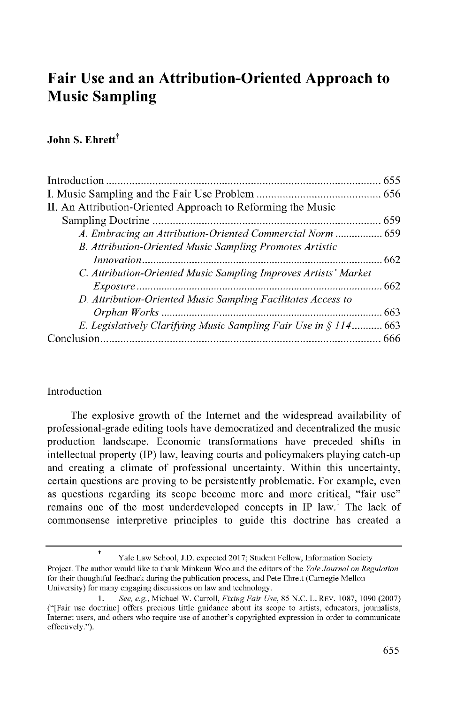# **Fair Use and an Attribution-Oriented Approach to Music Sampling**

# **John S. Ehrett<sup>†</sup>**

| II. An Attribution-Oriented Approach to Reforming the Music      |  |
|------------------------------------------------------------------|--|
|                                                                  |  |
| A. Embracing an Attribution-Oriented Commercial Norm  659        |  |
| B. Attribution-Oriented Music Sampling Promotes Artistic         |  |
|                                                                  |  |
| C. Attribution-Oriented Music Sampling Improves Artists' Market  |  |
|                                                                  |  |
| D. Attribution-Oriented Music Sampling Facilitates Access to     |  |
|                                                                  |  |
| E. Legislatively Clarifying Music Sampling Fair Use in § 114 663 |  |
|                                                                  |  |
|                                                                  |  |

#### Introduction

t

The explosive growth of the Internet and the widespread availability of professional-grade editing tools have democratized and decentralized the music production landscape. Economic transformations have preceded shifts in intellectual property (IP) law, leaving courts and policymakers playing catch-up and creating a climate of professional uncertainty. Within this uncertainty, certain questions are proving to be persistently problematic. For example, even as questions regarding its scope become more and more critical, "fair use" remains one of the most underdeveloped concepts in IP law.' The lack of commonsense interpretive principles to guide this doctrine has created a

Yale Law School, J.D. expected 2017; Student Fellow, Information Society

Project. The author would like to thank Minkeun Woo and the editors of the *Yale Journal on Regulation* for their thoughtful feedback during the publication process, and Pete Ehrett (Carnegie Mellon University) for many engaging discussions on law and technology.

*<sup>1.</sup> See, e.g.,* Michael W. Carroll, *Fixing Fair Use,* 85 N.C. L. REV. 1087, 1090 (2007) ("[Fair use doctrine] offers precious little guidance about its scope to artists, educators, journalists, Internet users, and others who require use of another's copyrighted expression in order to communicate effectively.").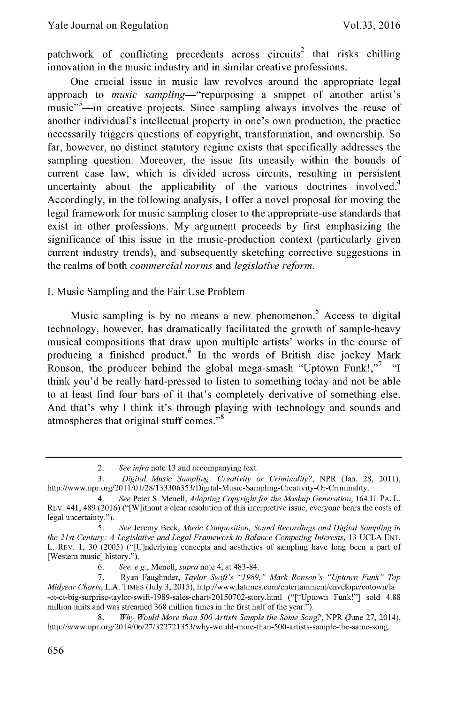patchwork of conflicting precedents across circuits<sup>2</sup> that risks chilling innovation in the music industry and in similar creative professions.

One crucial issue in music law revolves around the appropriate legal approach to *music sampling-"repurposing* a snippet of another artist's music"<sup>3</sup>-in creative projects. Since sampling always involves the reuse of another individual's intellectual property in one's own production, the practice necessarily triggers questions of copyright, transformation, and ownership. So far, however, no distinct statutory regime exists that specifically addresses the sampling question. Moreover, the issue fits uneasily within the bounds of current case law, which is divided across circuits, resulting in persistent uncertainty about the applicability of the various doctrines involved.<sup>4</sup> Accordingly, in the following analysis, I offer a novel proposal for moving the legal framework for music sampling closer to the appropriate-use standards that exist in other professions. My argument proceeds by first emphasizing the significance of this issue in the music-production context (particularly given current industry trends), and subsequently sketching corrective suggestions in the realms of both *commercial norms* and *legislative reform.*

I. Music Sampling and the Fair Use Problem

Music sampling is by no means a new phenomenon.<sup>5</sup> Access to digital technology, however, has dramatically facilitated the growth of sample-heavy musical compositions that draw upon multiple artists' works in the course of producing a finished product.<sup>6</sup> In the words of British disc jockey Mark Ronson, the producer behind the global mega-smash "Uptown Funk!."<sup>7</sup> "I think you'd be really hard-pressed to listen to something today and not be able to at least find four bars of it that's completely derivative of something else. And that's why I think it's through playing with technology and sounds and atmospheres that original stuff comes."<sup>8</sup>

6. *See, e.g.,* Menell, *supra* note 4, at 483-84.

<sup>2.</sup> *See infra* note 13 and accompanying text.

<sup>3.</sup> *Digital Music Sampling: Creativity or Criminality?,* NPR (Jan. 28, 2011), http: //www.npr.org/20 11 *01/ 28/* 133306353 /Digital-Music-Sampling-Creativity-Or-Criminality.

*<sup>4.</sup> See* Peter S. Menell, *Adapting Copyright for the Mashup Generation,* 164 U. PA. L. REV. 441, 489 (2016) ("[W]ithout a clear resolution of this interpretive issue, everyone bears the costs of legal uncertainty.").

*<sup>5.</sup> See* Jeremy Beck, *Music Composition, Sound Recordings and Digital Sampling in the 21st Century: A Legislative and Legal Framework to Balance Competing Interests, 13 UCLA ENT.* L. REV. 1, 30 (2005) ("[U]nderlying concepts and aesthetics of sampling have long been a part of [Western music] history.").

<sup>7.</sup> Ryan Faughnder, *Taylor Swift's "1989," Mark Ronson's "Uptown Funk" Top Midyear Charts,* L.A. TIMES (July 3, 2015), http://www.latimes.com/entertainment/envelope/cotown/la -et-ct-big-surprise-taylor-swift-1989-sales-chart-20150702-story.htrnl ("["Uptown Funk!"] sold 4.88 million units and was streamed 368 million times in the first half of the year.").

<sup>8.</sup> *Why Would More than 500 Artists Sample the Same Song?,* NPR (June 27, 2014), http://www.npr.org/2014/06/27/322721353/why-would-more-than-500-artists-sample-the-same-song.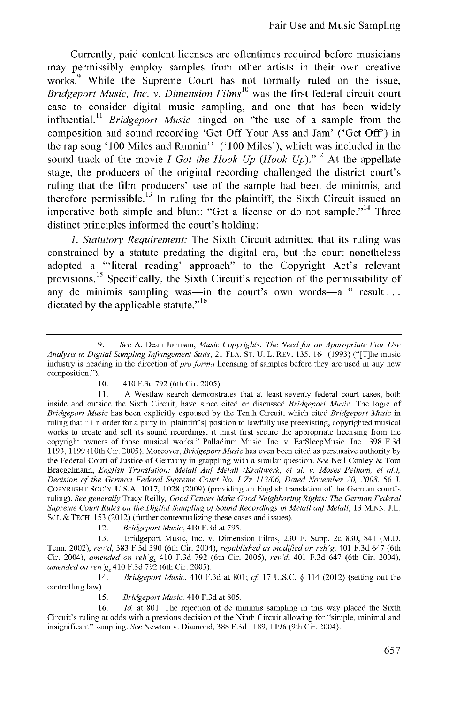Currently, paid content licenses are oftentimes required before musicians may permissibly employ samples from other artists in their own creative works.<sup>9</sup> While the Supreme Court has not formally ruled on the issue, *Bridgeport Music, Inc. v. Dimension Films<sup>10</sup>*was the first federal circuit court case to consider digital music sampling, and one that has been widely influential." *Bridgeport Music* hinged on "the use of a sample from the composition and sound recording 'Get Off Your Ass and Jam' ('Get Off') in the rap song '100 Miles and Runnin" ('100 Miles'), which was included in the sound track of the movie *I Got the Hook Up (Hook Up)."'<sup>1</sup>2* At the appellate stage, the producers of the original recording challenged the district court's ruling that the film producers' use of the sample had been de minimis, and therefore permissible.<sup>13</sup> In ruling for the plaintiff, the Sixth Circuit issued an imperative both simple and blunt: "Get a license or do not sample."<sup>14</sup> Three distinct principles informed the court's holding:

*1. Statutory Requirement:* The Sixth Circuit admitted that its ruling was constrained by a statute predating the digital era, but the court nonetheless adopted a "'literal reading' approach" to the Copyright Act's relevant provisions. **15** Specifically, the Sixth Circuit's rejection of the permissibility of any de minimis sampling was—in the court's own words—a " result... dictated by the applicable statute."<sup>16</sup>

12. *Bridgeport Music,* 410 F.3d at 795.

13. Bridgeport Music, Inc. v. Dimension Films, 230 F. Supp. 2d 830, 841 (M.D. Tenn. 2002), *rev'd,* 383 F.3d 390 (6th Cir. 2004), *republished as modified on reh'g,* 401 F.3d 647 (6th Cir. 2004), *amended on reh'g,* 410 F.3d 792 (6th Cir. 2005), *rev'd,* 401 F.3d 647 (6th Cir. 2004), *amended on reh 'g,* 410 F.3d 792 (6th Cir. 2005).

14. *Bridgeport Music,* 410 F.3d at 801; *cf* 17 U.S.C. § 114 (2012) (setting out the controlling law).

15. *Bridgeport Music,* 410 F.3d at 805.

16. *Id.* at 801. The rejection of de minimis sampling in this way placed the Sixth Circuit's ruling at odds with a previous decision of the Ninth Circuit allowing for "simple, minimal and insignificant" sampling. *See* Newton v. Diamond, 388 F.3d 1189, 1196 (9th Cir. 2004).

*<sup>9.</sup> See* A. Dean Johnson, *Music Copyrights: The Need for an Appropriate Fair Use Analysis in Digital Sampling Infringement Suits,* 21 FLA. ST. U. L. REV. 135, 164 (1993) ("[T]he music industry is heading in the direction *of pro forma* licensing of samples before they are used in any new composition.").

<sup>10. 410</sup> F.3d 792 (6th Cir. 2005).

<sup>11.</sup> A Westlaw search demonstrates that at least seventy federal court cases, both inside and outside the Sixth Circuit, have since cited or discussed *Bridgeport Music.* The logic of *Bridgeport Music* has been explicitly espoused by the Tenth Circuit, which cited *Bridgeport Music* in ruling that "[i]n order for a party in [plaintiff's] position to lawfully use preexisting, copyrighted musical works to create and sell its sound recordings, it must first secure the appropriate licensing from the copyright owners of those musical works." Palladium Music, Inc. v. EatSleepMusic, Inc., 398 F.3d 1193, 1199 (10th Cir. 2005). Moreover, *Bridgeport Music* has even been cited as persuasive authority by the Federal Court of Justice of Germany in grappling with a similar question. *See* Neil Conley & Tom Braegelmann, *English Translation: Metall Auf Metall (Kraftwerk, et al. v. Moses Pelham, et al.),* Decision of the German Federal Supreme Court No. I Zr 112/06, Dated November 20, 2008, 56 J. COPYRIGHT **SOC'Y** U.S.A. 1017, 1028 (2009) (providing an English translation of the German court's ruling). *See generally* Tracy Reilly, *Good Fences Make Good Neighboring Rights: The German Federal* Supreme Court Rules on the Digital Sampling of Sound Recordings in Metall auf Metall, 13 MINN. J.L. SCI. & **TECH.** 153 (2012) (further contextualizing these cases and issues).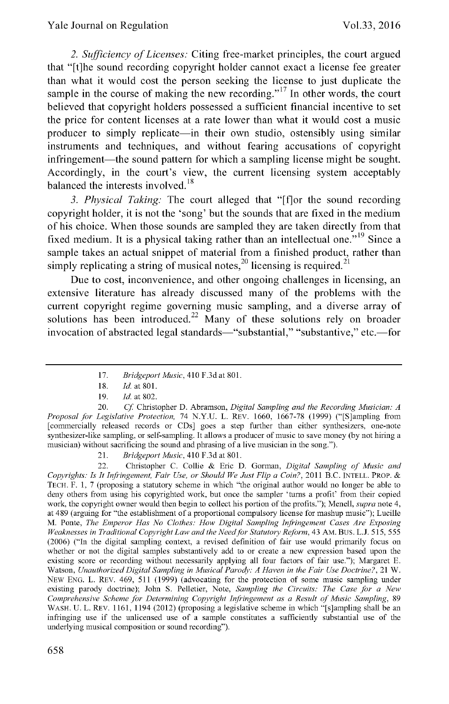*2. Sufficiency of Licenses:* Citing free-market principles, the court argued that "[t]he sound recording copyright holder cannot exact a license fee greater than what it would cost the person seeking the license to just duplicate the sample in the course of making the new recording."<sup>17</sup> In other words, the court believed that copyright holders possessed a sufficient financial incentive to set the price for content licenses at a rate lower than what it would cost a music producer to simply replicate—in their own studio, ostensibly using similar instruments and techniques, and without fearing accusations of copyright infringement—the sound pattern for which a sampling license might be sought. Accordingly, in the court's view, the current licensing system acceptably balanced the interests involved.<sup>18</sup>

*3. Physical Taking:* The court alleged that "[f]or the sound recording copyright holder, it is not the 'song' but the sounds that are fixed in the medium of his choice. When those sounds are sampled they are taken directly from that fixed medium. It is a physical taking rather than an intellectual one.<sup>5,19</sup> Since a sample takes an actual snippet of material from a finished product, rather than simply replicating a string of musical notes,  $^{20}$  licensing is required.  $^{21}$ 

Due to cost, inconvenience, and other ongoing challenges in licensing, an extensive literature has already discussed many of the problems with the current copyright regime governing music sampling, and a diverse array of solutions has been introduced.<sup>22</sup> Many of these solutions rely on broader invocation of abstracted legal standards—"substantial," "substantive," etc.—for

21. *Bridgeport Music,* 410 F.3d at 801.

22. Christopher C. Collie & Eric D. Gorman, *Digital Sampling of Music and Copyrights: Is It Infringement, Fair Use, or Should We Just Flip a Coin?,* 2011 B.C. **INTELL.** PROP. **& TECH.** F. 1, 7 (proposing a statutory scheme in which "the original author would no longer be able to deny others from using his copyrighted work, but once the sampler 'turns a profit' from their copied work, the copyright owner would then begin to collect his portion of the profits."); Menell, *supra* note 4, at 489 (arguing for "the establishment of a proportional compulsory license for mashup music"); Lucille M. Ponte, *The Emperor Has No Clothes: How Digital Sampling Infringement Cases Are Exposing Weaknesses in Traditional Copyright Law and the Needfor Statutory Reform,* 43 AM. Bus. L.J. 515, 555 (2006) ("In the digital sampling context, a revised definition of fair use would primarily focus on whether or not the digital samples substantively add to or create a new expression based upon the existing score or recording without necessarily applying all four factors of fair use."); Margaret **E.** Watson, *Unauthorized Digital Sampling in Musical Parody: A Haven in the Fair Use Doctrine?*, 21 W. NEW **ENG.** L. REV. 469, 511 (1999) (advocating for the protection of some music sampling under existing parody doctrine); John S. Pelletier, Note, *Sampling the Circuits: The Case for a New Comprehensive Scheme for Determining Copyright Infringement as a Result of Music Sampling,* <sup>89</sup> WASH. U. L. REV. 1161, 1194 (2012) (proposing a legislative scheme in which "[s]ampling shall be an infringing use if the unlicensed use of a sample constitutes a sufficiently substantial use of the underlying musical composition or sound recording").

<sup>17.</sup> *Bridgeport Music,* 410 F.3d at 801.

<sup>18.</sup> *Id.* at **801.**

<sup>19.</sup> *Id.* at 802.

<sup>20.</sup> *Cf* Christopher D. Abramson, *Digital Sampling and the Recording Musician: A Proposal for Legislative Protection,* 74 N.Y.U. L. REV. 1660, 1667-78 (1999) ("[S]ampling from [commercially released records or CDs] goes a step further than either synthesizers, one-note synthesizer-like sampling, or self-sampling. It allows a producer of music to save money (by not hiring a musician) without sacrificing the sound and phrasing of a live musician in the song.").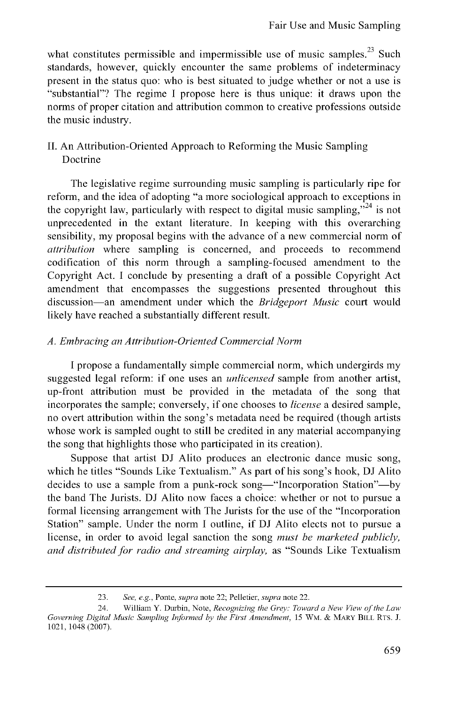what constitutes permissible and impermissible use of music samples.<sup>23</sup> Such standards, however, quickly encounter the same problems of indeterminacy present in the status quo: who is best situated to judge whether or not a use is "substantial"? The regime I propose here is thus unique: it draws upon the norms of proper citation and attribution common to creative professions outside the music industry.

### II. An Attribution-Oriented Approach to Reforming the Music Sampling Doctrine

The legislative regime surrounding music sampling is particularly ripe for reform, and the idea of adopting "a more sociological approach to exceptions in the copyright law, particularly with respect to digital music sampling.<sup> $324$ </sup> is not unprecedented in the extant literature. In keeping with this overarching sensibility, my proposal begins with the advance of a new commercial norm of *attribution* where sampling is concerned, and proceeds to recommend codification of this norm through a sampling-focused amendment to the Copyright Act. I conclude by presenting a draft of a possible Copyright Act amendment that encompasses the suggestions presented throughout this discussion-an amendment under which the *Bridgeport Music* court would likely have reached a substantially different result.

#### *A. Embracing an Attribution-Oriented Commercial Norm*

I propose a fundamentally simple commercial norm, which undergirds my suggested legal reform: if one uses an *unlicensed* sample from another artist, up-front attribution must be provided in the metadata of the song that incorporates the sample; conversely, if one chooses to *license* a desired sample, no overt attribution within the song's metadata need be required (though artists whose work is sampled ought to still be credited in any material accompanying the song that highlights those who participated in its creation).

Suppose that artist DJ Alito produces an electronic dance music song, which he titles "Sounds Like Textualism." As part of his song's hook, DJ Alito decides to use a sample from a punk-rock song—"Incorporation Station"—by the band The Jurists. DJ Alito now faces a choice: whether or not to pursue a formal licensing arrangement with The Jurists for the use of the "Incorporation Station" sample. Under the norm I outline, if DJ Alito elects not to pursue a license, in order to avoid legal sanction the song *must be marketed publicly, and distributed for radio and streaming airplay,* as "Sounds Like Textualism

<sup>23.</sup> See, e.g., Ponte, supra note 22; Pelletier, supra note 22.

<sup>24.</sup> William Y. Durbin, Note, *Recognizing* the *Grey Toward a New View of the Law* Governing Digital *Music Sampling Informed by* the *First Amendment,* 15 WM. & MARY BILL RTS. J. 1021, 1048 (2007).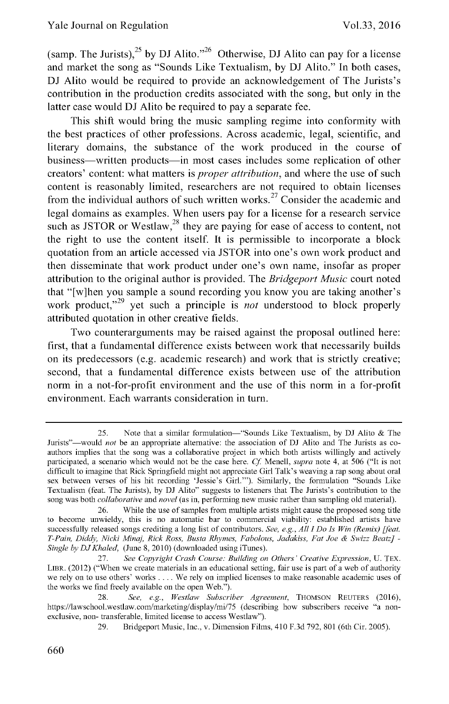(samp. The Jurists),<sup>25</sup>**by DJ Alito. '26** Otherwise, **DJ** Alito can pay for a license and market the song as "Sounds Like Textualism, **by DJ** Alito." In both cases, **DJ** Alito would be required to provide an acknowledgement of The Jurists's contribution in the production credits associated with the song, but only in the latter case would **DJ** Alito be required to pay a separate fee.

This shift would bring the music sampling regime into conformity with the best practices of other professions. Across academic, legal, scientific, and literary domains, the substance of the work produced in the course of business—written products—in most cases includes some replication of other creators' content: what matters is *proper attribution,* and where the use of such content is reasonably limited, researchers are not required to obtain licenses from the individual authors of such written works.<sup>27</sup> Consider the academic and legal domains as examples. When users pay for a license for a research service such as JSTOR or Westlaw,  $28$  they are paying for ease of access to content, not the right to use the content itself. It is permissible to incorporate a block quotation from an article accessed via **JSTOR** into one's own work product and then disseminate that work product under one's own name, insofar as proper attribution to the original author is provided. The *Bridgeport Music* court noted that "[w]hen you sample a sound recording you know you are taking another's work product,<sup>"29</sup> yet such a principle is *not* understood to block properly attributed quotation in other creative fields.

Two counterarguments may be raised against the proposal outlined here: first, that a fundamental difference exists between work that necessarily builds on its predecessors (e.g. academic research) and work that is strictly creative; second, that a fundamental difference exists between use of the attribution norm in a not-for-profit environment and the use of this norm in a for-profit environment. Each warrants consideration in turn.

**<sup>25.</sup>** Note that a similar formulation-"Sounds Like Textualism, **by DJ Alito &** The Jurists"-would not be an appropriate alternative: **the** association of **DJ** Alito and The Jurists as coauthors implies that the song was a collaborative project in which both artists willingly and actively participated, a scenario which would not be **the** case here. **Cf** Menell, *supra* note 4, at **506** ("It is not difficult to imagine that Rick Springfield might not appreciate Girl Talk's weaving a rap song about oral sex between verses of his hit recording 'Jessie's Girl."'). Similarly, **the** formulation "Sounds Like Textualism (feat. The Jurists), **by DJ** Alito" suggests to listeners that The Jurists's contribution to **the** song was both *collaborative* and *novel* (as in, performing new music rather than sampling old material).

**<sup>26.</sup>** While **the** use of samples from multiple artists might cause **the** proposed song title to become unwieldy, this is no automatic bar to commercial viability: established artists have successfully released songs crediting a long list of contributors. *See, e.g., All I Do Is Win (Remix) [feat. T-Pain, Diddy, Nicki Minaj, Rick Ross, Busta Rhymes, Fabolous, Jadakiss, Fat Joe &* **Swizz** *Beatz]* **-** *Single byDJKhaled,* (June **8,** 2010) (downloaded using iTunes).

**<sup>27.</sup>** *See Copyright Crash Course. Building on Others' Creative Expression,* **U.** TEX. LIBR. (2012) ("When we create materials in an educational setting, fair use is part of a web of authority we rely on to use others' works **....** We rely on implied licenses to make reasonable academic uses of **the** works we find freely available on **the** open Web.").

**<sup>28.</sup>** *See, e.g., Westlaw Subscriber Agreement,* **THOMSON** REUTERS **(2016),** https://lawschool.westlaw.com/marketing/display/mi/75 (describing how subscribers receive **"a** nonexclusive, non- transferable, limited license to access Westlaw").

**<sup>29.</sup>** Bridgeport Music, Inc., v. Dimension Films, 410 **F.3d 792, 801** (6th Cir. **2005).**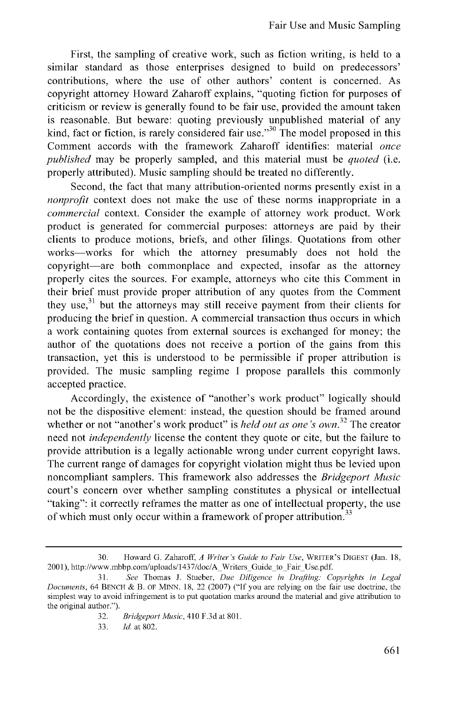First, the sampling of creative work, such as fiction writing, is held to a similar standard as those enterprises designed to build on predecessors' contributions, where the use of other authors' content is concerned. As copyright attorney Howard Zaharoff explains, "quoting fiction for purposes of criticism or review is generally found to be fair use, provided the amount taken is reasonable. But beware: quoting previously unpublished material of any kind, fact or fiction, is rarely considered fair use.<sup>330</sup> The model proposed in this Comment accords with the framework Zaharoff identifies: material *once published* may be properly sampled, and this material must be *quoted* (i.e. properly attributed). Music sampling should be treated no differently.

Second, the fact that many attribution-oriented norms presently exist in a *nonprofit* context does not make the use of these norms inappropriate in a *commercial* context. Consider the example of attorney work product. Work product is generated for commercial purposes: attorneys are paid by their clients to produce motions, briefs, and other filings. Quotations from other works-works for which the attorney presumably does not hold the copyright-are both commonplace and expected, insofar as the attorney properly cites the sources. For example, attorneys who cite this Comment in their brief must provide proper attribution of any quotes from the Comment they use, $31$  but the attorneys may still receive payment from their clients for producing the brief in question. A commercial transaction thus occurs in which a work containing quotes from external sources is exchanged for money; the author of the quotations does not receive a portion of the gains from this transaction, yet this is understood to be permissible if proper attribution is provided. The music sampling regime I propose parallels this commonly accepted practice.

Accordingly, the existence of "another's work product" logically should not be the dispositive element: instead, the question should be framed around whether or not "another's work product" is *held out as one's own*.<sup>32</sup> The creator need not *independently* license the content they quote or cite, but the failure to provide attribution is a legally actionable wrong under current copyright laws. The current range of damages for copyright violation might thus be levied upon noncompliant samplers. This framework also addresses the *Bridgeport Music* court's concern over whether sampling constitutes a physical or intellectual "taking": it correctly reframes the matter as one of intellectual property, the use of which must only occur within a framework of proper attribution.<sup>33</sup>

<sup>30.</sup> Howard G. Zaharoff, *A Writer's Guide to Fair Use,* WRITER'S DIGEST (Jan. 18, 2001), http://www.mbbp.com/uploads/1437/doc/A Writers Guide to Fair Use.pdf.

<sup>31.</sup> *See* Thomas J. Stueber, *Due Diligence in Drafting: Copyrights in Legal* Documents, 64 **BENCH &** B. OF MINN. 18, 22 (2007) ("If you are relying on the fair use doctrine, the simplest way to avoid infringement is to put quotation marks around the material and give attribution to the original author.").

<sup>32.</sup> *Bridgeport Music,* 410 F.3d at 801.

<sup>33.</sup> *Id.* at 802.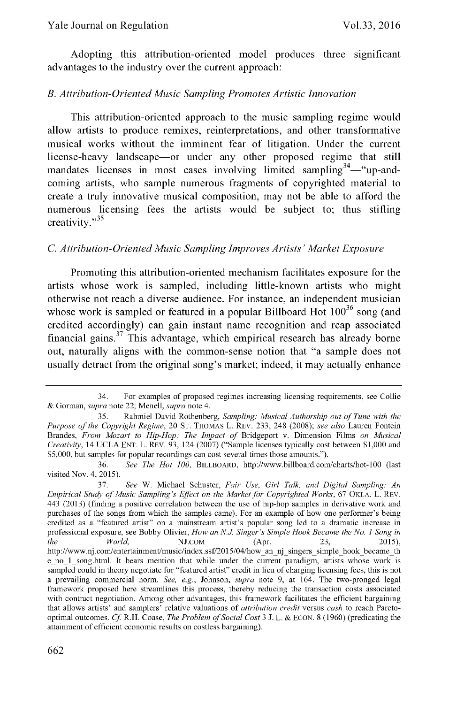Adopting this attribution-oriented model produces three significant advantages to the industry over the current approach:

#### *B. Attribution-Oriented Music Sampling Promotes Artistic Innovation*

This attribution-oriented approach to the music sampling regime would allow artists to produce remixes, reinterpretations, and other transformative musical works without the imminent fear of litigation. Under the current license-heavy landscape—or under any other proposed regime that still mandates licenses in most cases involving limited sampling<sup>34</sup>—"up-andcoming artists, who sample numerous fragments of copyrighted material to create a truly innovative musical composition, may not be able to afford the numerous licensing fees the artists would be subject to; thus stifling creativity."<sup>35</sup>

#### *C. Attribution-Oriented Music Sampling Improves Artists' Market Exposure*

Promoting this attribution-oriented mechanism facilitates exposure for the artists whose work is sampled, including little-known artists who might otherwise not reach a diverse audience. For instance, an independent musician whose work is sampled or featured in a popular Billboard Hot  $100^{36}$  song (and credited accordingly) can gain instant name recognition and reap associated financial gains.<sup>37</sup> This advantage, which empirical research has already borne out, naturally aligns with the common-sense notion that "a sample does not usually detract from the original song's market; indeed, it may actually enhance

<sup>34.</sup> For examples of proposed regimes increasing licensing requirements, see Collie & Gorman, *supra* note 22; Menell, *supra* note 4.

<sup>35.</sup> Rahmiel David Rothenberg, *Sampling: Musical Authorship out of Tune with the Purpose of the Copyright Regime,* 20 ST. THOMAS L. REV. 233, 248 (2008); *see also* Lauren Fontein Brandes, *From Mozart to Hip-Hop: The Impact of* Bridgeport v. Dimension Films *on Musical Creativity,* 14 UCLA ENT. L. REV. 93, 124 (2007) ("Sample licenses typically cost between \$1,000 and \$5,000, but samples for popular recordings can cost several times those amounts.").

<sup>36.</sup> *See The* Hot 100, BILLBOARD, http://www.billboard.com/charts/hot-100 (last visited Nov. 4, 2015).

<sup>37.</sup> *See* W. Michael Schuster, *Fair Use, Girl Talk, and Digital Sampling: An Empirical Study of Music Sampling's Effect on the Market for Copyrighted Works,* 67 OKLA. L. REV. 443 (2013) (finding a positive correlation between the use of hip-hop samples in derivative work and purchases of the songs from which the samples came). For an example of how one performer's being credited as a "featured artist" on a mainstream artist's popular song led to a dramatic increase in professional exposure, see Bobby Olivier, *How an* **N.J** *Singer's Simple Hook Became the No. 1 Song in the World,* NJ.COM (Apr. 23, 2015) http://www.nj.com/entertainment/music/index.ssf/2015/04/how an nj singers simple hook became th e no 1 song.html. It bears mention that while under the current paradigm, artists whose work is sampled could in theory negotiate for "featured artist" credit in lieu of charging licensing fees, this is not a prevailing commercial norm. *See, e.g.,* Johnson, *supra* note 9, at 164. The two-pronged legal framework proposed here streamlines this process, thereby reducing the transaction costs associated with contract negotiation. Among other advantages, this framework facilitates the efficient bargaining that allows artists' and samplers' relative valuations of *attribution credit* versus *cash* to reach Paretooptimal outcomes. *Cf* R.H. Coase, *The Problem of Social Cost* 3 J. L. & ECON. 8 (1960) (predicating the attainment of efficient economic results on costless bargaining).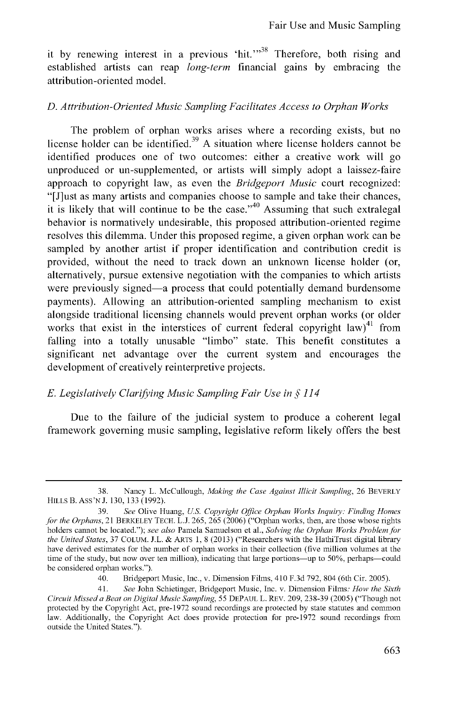it by renewing interest in a previous 'hit.' $38$ <sup>38</sup> Therefore, both rising and established artists can reap *long-term* financial gains by embracing the attribution-oriented model.

#### *D. Attribution-Oriented Music Sampling Facilitates Access to Orphan Works*

The problem of orphan works arises where a recording exists, but no license holder can be identified.<sup>39</sup> A situation where license holders cannot be identified produces one of two outcomes: either a creative work will go unproduced or un-supplemented, or artists will simply adopt a laissez-faire approach to copyright law, as even the *Bridgeport Music* court recognized: "[J]ust as many artists and companies choose to sample and take their chances, it is likely that will continue to be the case."<sup>40</sup> Assuming that such extralegal behavior is normatively undesirable, this proposed attribution-oriented regime resolves this dilemma. Under this proposed regime, a given orphan work can be sampled by another artist if proper identification and contribution credit is provided, without the need to track down an unknown license holder (or, alternatively, pursue extensive negotiation with the companies to which artists were previously signed-a process that could potentially demand burdensome payments). Allowing an attribution-oriented sampling mechanism to exist alongside traditional licensing channels would prevent orphan works (or older works that exist in the interstices of current federal copyright law) $41$  from falling into a totally unusable "limbo" state. This benefit constitutes a significant net advantage over the current system and encourages the development of creatively reinterpretive projects.

#### **E.** *Legislatively Clarifying Music Sampling Fair Use in* **§** *114*

Due to the failure of the judicial system to produce a coherent legal framework governing music sampling, legislative reform likely offers the best

<sup>38.</sup> Nancy L. McCullough, *Making the Case Against Illicit Sampling,* 26 BEVERLY HILLS B. ASS'N J. 130, 133 (1992).

<sup>39.</sup> *See* Olive Huang, *US. Copyright Office Orphan Works Inquiry: Finding Homes for the Orphans,* 21 BERKELEY TECH. L.J. 265, 265 (2006) ("Orphan works, then, are those whose rights holders cannot be located."); *see also* Pamela Samuelson et al., *Solving the Orphan Works Problem for the United States,* 37 COLUM. J.L. & ARTS 1, 8 (2013) ("Researchers with the HathiTrust digital library have derived estimates for the number of orphan works in their collection (five million volumes at the time of the study, but now over ten million), indicating that large portions-up to 50%, perhaps-could be considered orphan works.").

<sup>40.</sup> Bridgeport Music, Inc., v. Dimension Films, 410 F.3d 792, 804 (6th Cir. 2005).

<sup>41.</sup> *See* John Schietinger, Bridgeport Music, Inc. v. Dimension Films: *How the Sixth Circuit Missed a Beat on Digital Music Sampling,* 55 DEPAUL L. REV. 209, 238-39 (2005) ("Though not protected by the Copyright Act, pre-1972 sound recordings are protected by state statutes and common law. Additionally, the Copyright Act does provide protection for pre-1972 sound recordings from outside the United States.").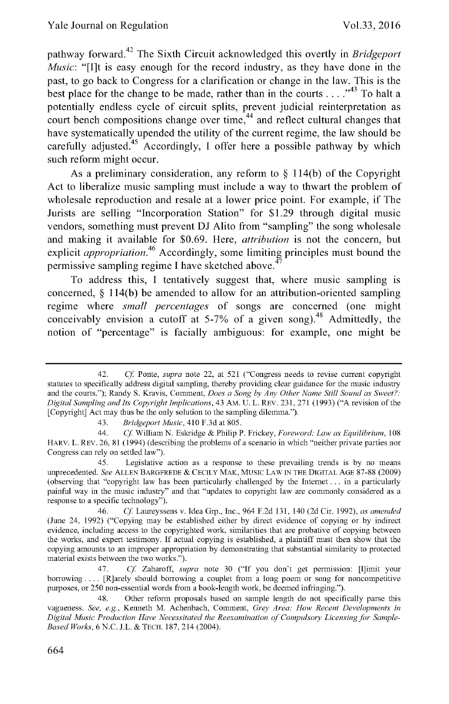<sup>42</sup> pathway forward. The Sixth Circuit acknowledged this overtly in *Bridgeport Music:* "[I]t is easy enough for the record industry, as they have done in the past, to go back to Congress for a clarification or change in the law. This is the best place for the change to be made, rather than in the courts  $\dots$ <sup>43</sup> To halt a potentially endless cycle of circuit splits, prevent judicial reinterpretation as court bench compositions change over **time,44** and reflect cultural changes that have systematically upended the utility of the current regime, the law should be carefully adjusted.45 Accordingly, **I** offer here a possible pathway **by** which such reform might occur.

As a preliminary consideration, any reform to **§** 114(b) of the Copyright Act to liberalize music sampling must include a way to thwart the problem of wholesale reproduction and resale at a lower price point. For example, if The Jurists are selling "Incorporation Station" for **\$1.29** through digital music vendors, something must prevent **DJ** Alito from "sampling" the song wholesale and making it available for \$0.69. Here, *attribution* is not the concern, but explicit *appropriation*.<sup>46</sup> Accordingly, some limiting principles must bound the permissive sampling regime **I** have sketched above.<sup>4</sup>

To address this, **I** tentatively suggest that, where music sampling is concerned, **§** 114(b) be amended to allow for an attribution-oriented sampling regime where *small percentages* of songs are concerned (one might conceivably envision a cutoff at  $5-7\%$  of a given song).<sup>48</sup> Admittedly, the notion of "percentage" is facially ambiguous: for example, one might be

<sup>42.</sup> *Cf* Ponte, *supra* note 22, at 521 ("Congress needs to revise current copyright statutes to specifically address digital sampling, thereby providing clear guidance for the music industry and the courts."); Randy S. Kravis, Comment, *Does a* Song *by Any* Other Name Still Sound *as Sweet?. Digital Sampling and Its Copyright Implications,* 43 AM. U. L. REV. 231, 271 (1993) ("A revision of the [Copyright] Act may thus be the only solution to the sampling dilemma.").

<sup>43.</sup> *Bridgeport Music,* 410 F.3d at 805.

<sup>44.</sup> *Cf* William N. Eskridge & Philip P. Frickey, *Foreword.- Law as Equilibrium,* 108 HARV. L. REV. 26, 81 (1994) (describing the problems of a scenario in which "neither private parties nor Congress can rely on settled law").

<sup>45.</sup> Legislative action as a response to these prevailing trends is by no means unprecedented. *See* ALLEN BARGFREDE **&** CECILY MAK, Music LAW IN THE DIGITAL AGE 87-88 (2009) (observing that "copyright law has been particularly challenged by the Internet... in a particularly painful way in the music industry" and that "updates to copyright law are commonly considered as a response to a specific technology").

<sup>46.</sup> *Cf* Laureyssens v. Idea Grp., Inc., 964 F.2d 131, 140 (2d Cir. 1992), *as amended* (June 24, 1992) ("Copying may be established either by direct evidence of copying or by indirect evidence, including access to the copyrighted work, similarities that are probative of copying between the works, and expert testimony. If actual copying is established, a plaintiff must then show that the copying amounts to an improper appropriation by demonstrating that substantial similarity to protected material exists between the two works.").

<sup>47.</sup> *Cf* Zaharoff, *supra* note 30 ("If you don't get permission: [Il]imit your borrowing .... [R]arely should borrowing a couplet from a long poem or song for noncompetitive purposes, or 250 non-essential words from a book-length work, be deemed infringing.").

<sup>48.</sup> Other reform proposals based on sample length do not specifically parse this vagueness. *See,* e.g., Kenneth M. Achenbach, Comment, *Grey Area. How Recent Developments in Digital Music Production Have Necessitated the Reexamination of Compulsory Licensing for Sample-Based Works,* 6 N.C. J.L. & TECH. 187, 214 (2004).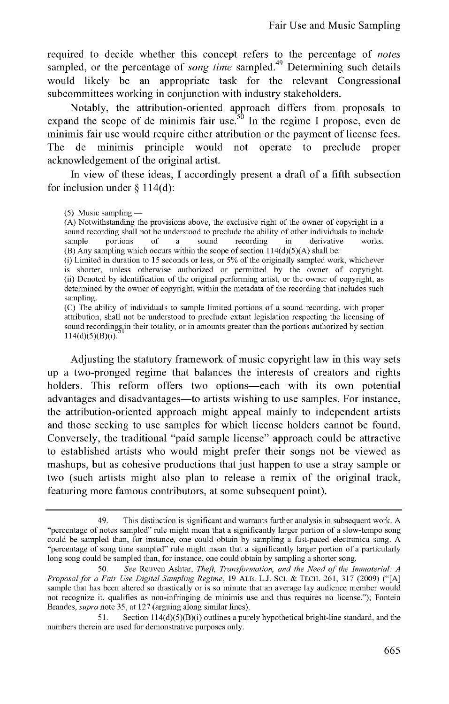required to decide whether this concept refers to the percentage of *notes* sampled, or the percentage of *song time* sampled.<sup>49</sup> Determining such details would likely be an appropriate task for the relevant Congressional subcommittees working in conjunction with industry stakeholders.

Notably, the attribution-oriented approach differs from proposals to expand the scope of de minimis fair use.<sup>50</sup> In the regime I propose, even de minimis fair use would require either attribution or the payment of license fees. The de minimis principle would not operate to preclude proper acknowledgement of the original artist.

In view of these ideas, I accordingly present a draft of a fifth subsection for inclusion under  $\delta$  114(d):

(A) Notwithstanding the provisions above, the exclusive right of the owner of copyright in a sound recording shall not be understood to preclude the ability of other individuals to include sample portions of a sound recording in derivative works. (B) Any sampling which occurs within the scope of section  $114(d)(5)(A)$  shall be:

(i) Limited in duration to 15 seconds or less, or **5%** of the originally sampled work, whichever is shorter, unless otherwise authorized or permitted by the owner of copyright. (ii) Denoted by identification of the original performing artist, or the owner of copyright, as determined by the owner of copyright, within the metadata of the recording that includes such sampling.

(C) The ability of individuals to sample limited portions of a sound recording, with proper attribution, shall not be understood to preclude extant legislation respecting the licensing of sound recordings, in their totality, or in amounts greater than the portions authorized by section  $114(d)(5)(B)(i).$ 

Adjusting the statutory framework of music copyright law in this way sets up a two-pronged regime that balances the interests of creators and rights holders. This reform offers two options—each with its own potential advantages and disadvantages—to artists wishing to use samples. For instance, the attribution-oriented approach might appeal mainly to independent artists and those seeking to use samples for which license holders cannot be found. Conversely, the traditional "paid sample license" approach could be attractive to established artists who would might prefer their songs not be viewed as mashups, but as cohesive productions that just happen to use a stray sample or two (such artists might also plan to release a remix of the original track, featuring more famous contributors, at some subsequent point).

<sup>(5)</sup> Music sampling **-**

<sup>49.</sup> This distinction is significant and warrants further analysis in subsequent work. A "percentage of notes sampled" rule might mean that a significantly larger portion of a slow-tempo song could be sampled than, for instance, one could obtain by sampling a fast-paced electronica song. A "percentage of song time sampled" rule might mean that a significantly larger portion of a particularly long song could be sampled than, for instance, one could obtain by sampling a shorter song.

<sup>50.</sup> See Reuven Ashtar, Theft, Transformation, and the Need of the *Immaterial. A Proposalfor a Fair Use Digital Sampling Regime,* 19 ALB. L.J. SCI. & TECH. 261, 317 (2009) ("[A] sample that has been altered so drastically or is so minute that an average lay audience member would not recognize it, qualifies as non-infringing de minimis use and thus requires no license."); Fontein Brandes, supra note 35, at 127 (arguing along similar lines).

<sup>51.</sup> Section  $114(d)(5)(B)(i)$  outlines a purely hypothetical bright-line standard, and the numbers therein are used for demonstrative purposes only.